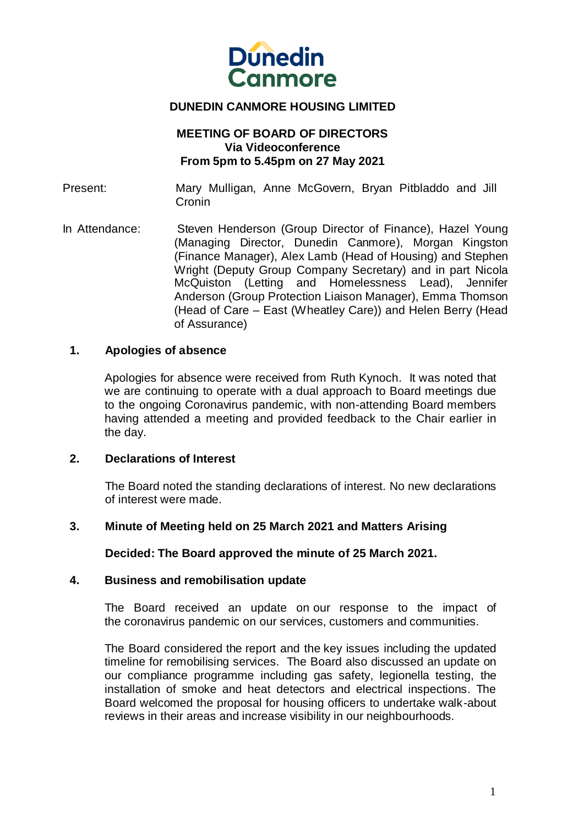

# **DUNEDIN CANMORE HOUSING LIMITED**

# **MEETING OF BOARD OF DIRECTORS Via Videoconference From 5pm to 5.45pm on 27 May 2021**

Present: Mary Mulligan, Anne McGovern, Bryan Pitbladdo and Jill **Cronin** 

In Attendance: Steven Henderson (Group Director of Finance), Hazel Young (Managing Director, Dunedin Canmore), Morgan Kingston (Finance Manager), Alex Lamb (Head of Housing) and Stephen Wright (Deputy Group Company Secretary) and in part Nicola McQuiston (Letting and Homelessness Lead), Jennifer Anderson (Group Protection Liaison Manager), Emma Thomson (Head of Care – East (Wheatley Care)) and Helen Berry (Head of Assurance)

#### **1. Apologies of absence**

Apologies for absence were received from Ruth Kynoch. It was noted that we are continuing to operate with a dual approach to Board meetings due to the ongoing Coronavirus pandemic, with non-attending Board members having attended a meeting and provided feedback to the Chair earlier in the day.

#### **2. Declarations of Interest**

The Board noted the standing declarations of interest. No new declarations of interest were made.

## **3. Minute of Meeting held on 25 March 2021 and Matters Arising**

**Decided: The Board approved the minute of 25 March 2021.**

#### **4. Business and remobilisation update**

The Board received an update on our response to the impact of the coronavirus pandemic on our services, customers and communities.

The Board considered the report and the key issues including the updated timeline for remobilising services. The Board also discussed an update on our compliance programme including gas safety, legionella testing, the installation of smoke and heat detectors and electrical inspections. The Board welcomed the proposal for housing officers to undertake walk-about reviews in their areas and increase visibility in our neighbourhoods.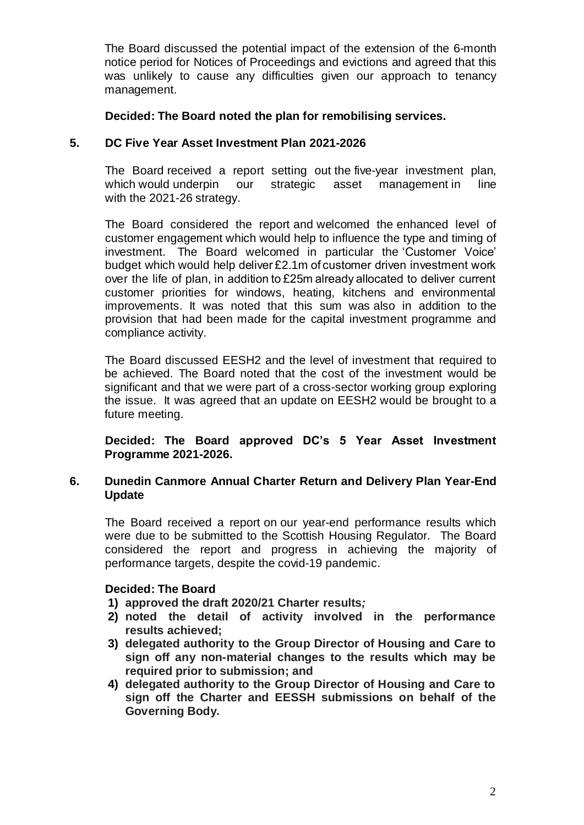The Board discussed the potential impact of the extension of the 6-month notice period for Notices of Proceedings and evictions and agreed that this was unlikely to cause any difficulties given our approach to tenancy management.

## **Decided: The Board noted the plan for remobilising services.**

# **5. DC Five Year Asset Investment Plan 2021-2026**

The Board received a report setting out the five-year investment plan, which would underpin our strategic asset management in line with the 2021-26 strategy.

The Board considered the report and welcomed the enhanced level of customer engagement which would help to influence the type and timing of investment. The Board welcomed in particular the 'Customer Voice' budget which would help deliver £2.1m of customer driven investment work over the life of plan, in addition to £25m already allocated to deliver current customer priorities for windows, heating, kitchens and environmental improvements. It was noted that this sum was also in addition to the provision that had been made for the capital investment programme and compliance activity.

The Board discussed EESH2 and the level of investment that required to be achieved. The Board noted that the cost of the investment would be significant and that we were part of a cross-sector working group exploring the issue. It was agreed that an update on EESH2 would be brought to a future meeting.

**Decided: The Board approved DC's 5 Year Asset Investment Programme 2021-2026.**

## **6. Dunedin Canmore Annual Charter Return and Delivery Plan Year-End Update**

The Board received a report on our year-end performance results which were due to be submitted to the Scottish Housing Regulator. The Board considered the report and progress in achieving the majority of performance targets, despite the covid-19 pandemic.

## **Decided: The Board**

- **1) approved the draft 2020/21 Charter results***;*
- **2) noted the detail of activity involved in the performance results achieved;**
- **3) delegated authority to the Group Director of Housing and Care to sign off any non-material changes to the results which may be required prior to submission; and**
- **4) delegated authority to the Group Director of Housing and Care to sign off the Charter and EESSH submissions on behalf of the Governing Body.**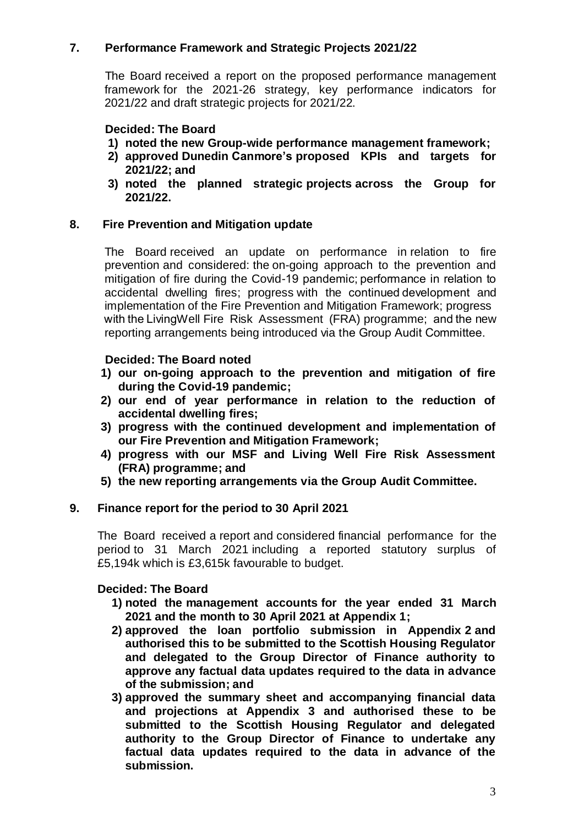# **7. Performance Framework and Strategic Projects 2021/22**

The Board received a report on the proposed performance management framework for the 2021-26 strategy, key performance indicators for 2021/22 and draft strategic projects for 2021/22.

# **Decided: The Board**

- **1) noted the new Group-wide performance management framework;**
- **2) approved Dunedin Canmore's proposed KPIs and targets for 2021/22; and**
- **3) noted the planned strategic projects across the Group for 2021/22.**

# **8. Fire Prevention and Mitigation update**

The Board received an update on performance in relation to fire prevention and considered: the on-going approach to the prevention and mitigation of fire during the Covid-19 pandemic; performance in relation to accidental dwelling fires; progress with the continued development and implementation of the Fire Prevention and Mitigation Framework; progress with the LivingWell Fire Risk Assessment (FRA) programme; and the new reporting arrangements being introduced via the Group Audit Committee. 

# **Decided: The Board noted**

- **1) our on-going approach to the prevention and mitigation of fire during the Covid-19 pandemic;**
- **2) our end of year performance in relation to the reduction of accidental dwelling fires;**
- **3) progress with the continued development and implementation of our Fire Prevention and Mitigation Framework;**
- **4) progress with our MSF and Living Well Fire Risk Assessment (FRA) programme; and**
- **5) the new reporting arrangements via the Group Audit Committee.**

## **9. Finance report for the period to 30 April 2021**

The Board received a report and considered financial performance for the period to 31 March 2021 including a reported statutory surplus of £5,194k which is £3,615k favourable to budget.

## **Decided: The Board**

- **1) noted the management accounts for the year ended 31 March 2021 and the month to 30 April 2021 at Appendix 1;**
- **2) approved the loan portfolio submission in Appendix 2 and authorised this to be submitted to the Scottish Housing Regulator and delegated to the Group Director of Finance authority to approve any factual data updates required to the data in advance of the submission; and**
- **3) approved the summary sheet and accompanying financial data and projections at Appendix 3 and authorised these to be submitted to the Scottish Housing Regulator and delegated authority to the Group Director of Finance to undertake any factual data updates required to the data in advance of the submission.**